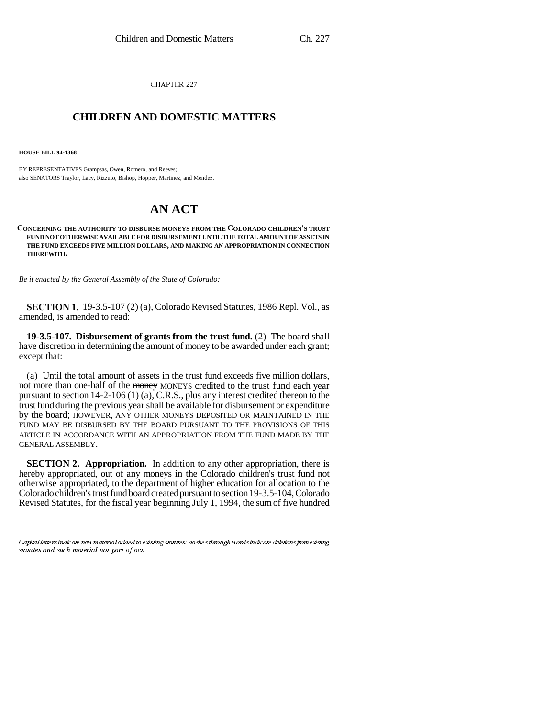CHAPTER 227

## \_\_\_\_\_\_\_\_\_\_\_\_\_\_\_ **CHILDREN AND DOMESTIC MATTERS** \_\_\_\_\_\_\_\_\_\_\_\_\_\_\_

**HOUSE BILL 94-1368**

BY REPRESENTATIVES Grampsas, Owen, Romero, and Reeves; also SENATORS Traylor, Lacy, Rizzuto, Bishop, Hopper, Martinez, and Mendez.

## **AN ACT**

**CONCERNING THE AUTHORITY TO DISBURSE MONEYS FROM THE COLORADO CHILDREN'S TRUST FUND NOT OTHERWISE AVAILABLE FOR DISBURSEMENT UNTIL THE TOTAL AMOUNT OF ASSETS IN THE FUND EXCEEDS FIVE MILLION DOLLARS, AND MAKING AN APPROPRIATION IN CONNECTION THEREWITH.**

*Be it enacted by the General Assembly of the State of Colorado:*

**SECTION 1.** 19-3.5-107 (2) (a), Colorado Revised Statutes, 1986 Repl. Vol., as amended, is amended to read:

**19-3.5-107. Disbursement of grants from the trust fund.** (2) The board shall have discretion in determining the amount of money to be awarded under each grant; except that:

(a) Until the total amount of assets in the trust fund exceeds five million dollars, not more than one-half of the money MONEYS credited to the trust fund each year pursuant to section 14-2-106 (1) (a), C.R.S., plus any interest credited thereon to the trust fund during the previous year shall be available for disbursement or expenditure by the board; HOWEVER, ANY OTHER MONEYS DEPOSITED OR MAINTAINED IN THE FUND MAY BE DISBURSED BY THE BOARD PURSUANT TO THE PROVISIONS OF THIS ARTICLE IN ACCORDANCE WITH AN APPROPRIATION FROM THE FUND MADE BY THE GENERAL ASSEMBLY.

 **SECTION 2. Appropriation.** In addition to any other appropriation, there is hereby appropriated, out of any moneys in the Colorado children's trust fund not otherwise appropriated, to the department of higher education for allocation to the Colorado children's trust fund board created pursuant to section 19-3.5-104, Colorado Revised Statutes, for the fiscal year beginning July 1, 1994, the sum of five hundred

Capital letters indicate new material added to existing statutes; dashes through words indicate deletions from existing statutes and such material not part of act.